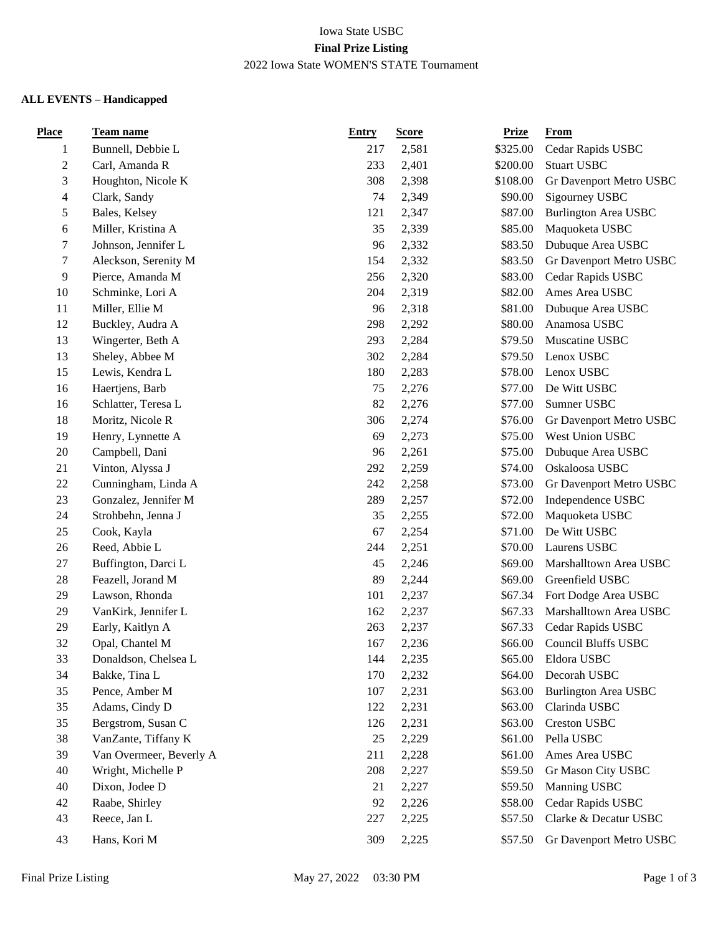# Iowa State USBC **Final Prize Listing** 2022 Iowa State WOMEN'S STATE Tournament

# **ALL EVENTS – Handicapped**

| <b>Place</b>             | <b>Team name</b>        | <b>Entry</b> | <b>Score</b> | <b>Prize</b> | From                        |
|--------------------------|-------------------------|--------------|--------------|--------------|-----------------------------|
| 1                        | Bunnell, Debbie L       | 217          | 2,581        | \$325.00     | Cedar Rapids USBC           |
| $\boldsymbol{2}$         | Carl, Amanda R          | 233          | 2,401        | \$200.00     | <b>Stuart USBC</b>          |
| 3                        | Houghton, Nicole K      | 308          | 2,398        | \$108.00     | Gr Davenport Metro USBC     |
| $\overline{\mathcal{A}}$ | Clark, Sandy            | 74           | 2,349        | \$90.00      | Sigourney USBC              |
| $\mathfrak s$            | Bales, Kelsey           | 121          | 2,347        | \$87.00      | <b>Burlington Area USBC</b> |
| 6                        | Miller, Kristina A      | 35           | 2,339        | \$85.00      | Maquoketa USBC              |
| 7                        | Johnson, Jennifer L     | 96           | 2,332        | \$83.50      | Dubuque Area USBC           |
| $\tau$                   | Aleckson, Serenity M    | 154          | 2,332        | \$83.50      | Gr Davenport Metro USBC     |
| 9                        | Pierce, Amanda M        | 256          | 2,320        | \$83.00      | Cedar Rapids USBC           |
| 10                       | Schminke, Lori A        | 204          | 2,319        | \$82.00      | Ames Area USBC              |
| 11                       | Miller, Ellie M         | 96           | 2,318        | \$81.00      | Dubuque Area USBC           |
| 12                       | Buckley, Audra A        | 298          | 2,292        | \$80.00      | Anamosa USBC                |
| 13                       | Wingerter, Beth A       | 293          | 2,284        | \$79.50      | Muscatine USBC              |
| 13                       | Sheley, Abbee M         | 302          | 2,284        | \$79.50      | Lenox USBC                  |
| 15                       | Lewis, Kendra L         | 180          | 2,283        | \$78.00      | Lenox USBC                  |
| 16                       | Haertjens, Barb         | 75           | 2,276        | \$77.00      | De Witt USBC                |
| 16                       | Schlatter, Teresa L     | 82           | 2,276        | \$77.00      | Sumner USBC                 |
| 18                       | Moritz, Nicole R        | 306          | 2,274        | \$76.00      | Gr Davenport Metro USBC     |
| 19                       | Henry, Lynnette A       | 69           | 2,273        | \$75.00      | West Union USBC             |
| 20                       | Campbell, Dani          | 96           | 2,261        | \$75.00      | Dubuque Area USBC           |
| 21                       | Vinton, Alyssa J        | 292          | 2,259        | \$74.00      | Oskaloosa USBC              |
| 22                       | Cunningham, Linda A     | 242          | 2,258        | \$73.00      | Gr Davenport Metro USBC     |
| 23                       | Gonzalez, Jennifer M    | 289          | 2,257        | \$72.00      | Independence USBC           |
| 24                       | Strohbehn, Jenna J      | 35           | 2,255        | \$72.00      | Maquoketa USBC              |
| 25                       | Cook, Kayla             | 67           | 2,254        | \$71.00      | De Witt USBC                |
| 26                       | Reed, Abbie L           | 244          | 2,251        | \$70.00      | Laurens USBC                |
| $27\,$                   | Buffington, Darci L     | 45           | 2,246        | \$69.00      | Marshalltown Area USBC      |
| $28\,$                   | Feazell, Jorand M       | 89           | 2,244        | \$69.00      | Greenfield USBC             |
| 29                       | Lawson, Rhonda          | 101          | 2,237        | \$67.34      | Fort Dodge Area USBC        |
| 29                       | VanKirk, Jennifer L     | 162          | 2,237        | \$67.33      | Marshalltown Area USBC      |
| 29                       | Early, Kaitlyn A        | 263          | 2,237        | \$67.33      | Cedar Rapids USBC           |
| 32                       | Opal, Chantel M         | 167          | 2,236        | \$66.00      | <b>Council Bluffs USBC</b>  |
| 33                       | Donaldson, Chelsea L    | 144          | 2,235        | \$65.00      | Eldora USBC                 |
| 34                       | Bakke, Tina L           | 170          | 2,232        | \$64.00      | Decorah USBC                |
| 35                       | Pence, Amber M          | 107          | 2,231        | \$63.00      | <b>Burlington Area USBC</b> |
| 35                       | Adams, Cindy D          | 122          | 2,231        | \$63.00      | Clarinda USBC               |
| 35                       | Bergstrom, Susan C      | 126          | 2,231        | \$63.00      | Creston USBC                |
| 38                       | VanZante, Tiffany K     | 25           | 2,229        | \$61.00      | Pella USBC                  |
| 39                       | Van Overmeer, Beverly A | 211          | 2,228        | \$61.00      | Ames Area USBC              |
| 40                       | Wright, Michelle P      | 208          | 2,227        | \$59.50      | Gr Mason City USBC          |
| 40                       | Dixon, Jodee D          | 21           | 2,227        | \$59.50      | Manning USBC                |
| 42                       | Raabe, Shirley          | 92           | 2,226        | \$58.00      | Cedar Rapids USBC           |
| 43                       | Reece, Jan L            | 227          | 2,225        | \$57.50      | Clarke & Decatur USBC       |
| 43                       | Hans, Kori M            | 309          | 2,225        | \$57.50      | Gr Davenport Metro USBC     |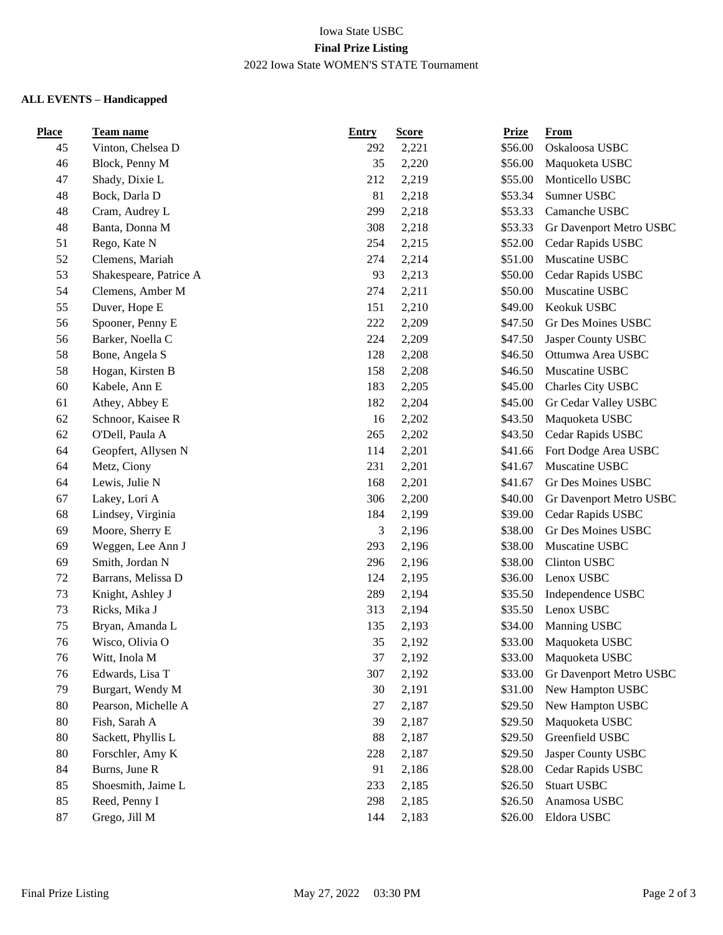### Iowa State USBC **Final Prize Listing** 2022 Iowa State WOMEN'S STATE Tournament

# **ALL EVENTS – Handicapped**

| <b>Place</b> | <b>Team name</b>       | <b>Entry</b> | <b>Score</b> | <b>Prize</b> | From                    |
|--------------|------------------------|--------------|--------------|--------------|-------------------------|
| 45           | Vinton, Chelsea D      | 292          | 2,221        | \$56.00      | Oskaloosa USBC          |
| 46           | Block, Penny M         | 35           | 2,220        | \$56.00      | Maquoketa USBC          |
| 47           | Shady, Dixie L         | 212          | 2,219        | \$55.00      | Monticello USBC         |
| 48           | Bock, Darla D          | 81           | 2,218        | \$53.34      | Sumner USBC             |
| 48           | Cram, Audrey L         | 299          | 2,218        | \$53.33      | Camanche USBC           |
| 48           | Banta, Donna M         | 308          | 2,218        | \$53.33      | Gr Davenport Metro USBC |
| 51           | Rego, Kate N           | 254          | 2,215        | \$52.00      | Cedar Rapids USBC       |
| 52           | Clemens, Mariah        | 274          | 2,214        | \$51.00      | Muscatine USBC          |
| 53           | Shakespeare, Patrice A | 93           | 2,213        | \$50.00      | Cedar Rapids USBC       |
| 54           | Clemens, Amber M       | 274          | 2,211        | \$50.00      | Muscatine USBC          |
| 55           | Duver, Hope E          | 151          | 2,210        | \$49.00      | Keokuk USBC             |
| 56           | Spooner, Penny E       | 222          | 2,209        | \$47.50      | Gr Des Moines USBC      |
| 56           | Barker, Noella C       | 224          | 2,209        | \$47.50      | Jasper County USBC      |
| 58           | Bone, Angela S         | 128          | 2,208        | \$46.50      | Ottumwa Area USBC       |
| 58           | Hogan, Kirsten B       | 158          | 2,208        | \$46.50      | Muscatine USBC          |
| 60           | Kabele, Ann E          | 183          | 2,205        | \$45.00      | Charles City USBC       |
| 61           | Athey, Abbey E         | 182          | 2,204        | \$45.00      | Gr Cedar Valley USBC    |
| 62           | Schnoor, Kaisee R      | 16           | 2,202        | \$43.50      | Maquoketa USBC          |
| 62           | O'Dell, Paula A        | 265          | 2,202        | \$43.50      | Cedar Rapids USBC       |
| 64           | Geopfert, Allysen N    | 114          | 2,201        | \$41.66      | Fort Dodge Area USBC    |
| 64           | Metz, Ciony            | 231          | 2,201        | \$41.67      | Muscatine USBC          |
| 64           | Lewis, Julie N         | 168          | 2,201        | \$41.67      | Gr Des Moines USBC      |
| 67           | Lakey, Lori A          | 306          | 2,200        | \$40.00      | Gr Davenport Metro USBC |
| 68           | Lindsey, Virginia      | 184          | 2,199        | \$39.00      | Cedar Rapids USBC       |
| 69           | Moore, Sherry E        | 3            | 2,196        | \$38.00      | Gr Des Moines USBC      |
| 69           | Weggen, Lee Ann J      | 293          | 2,196        | \$38.00      | Muscatine USBC          |
| 69           | Smith, Jordan N        | 296          | 2,196        | \$38.00      | Clinton USBC            |
| 72           | Barrans, Melissa D     | 124          | 2,195        | \$36.00      | Lenox USBC              |
| 73           | Knight, Ashley J       | 289          | 2,194        | \$35.50      | Independence USBC       |
| 73           | Ricks, Mika J          | 313          | 2,194        | \$35.50      | Lenox USBC              |
| 75           | Bryan, Amanda L        | 135          | 2,193        | \$34.00      | Manning USBC            |
| 76           | Wisco, Olivia O        | 35           | 2,192        | \$33.00      | Maquoketa USBC          |
| 76           | Witt, Inola M          | 37           | 2,192        | \$33.00      | Maquoketa USBC          |
| 76           | Edwards, Lisa T        | 307          | 2,192        | \$33.00      | Gr Davenport Metro USBC |
| 79           | Burgart, Wendy M       | 30           | 2,191        | \$31.00      | New Hampton USBC        |
| 80           | Pearson, Michelle A    | 27           | 2,187        | \$29.50      | New Hampton USBC        |
| 80           | Fish, Sarah A          | 39           | 2,187        | \$29.50      | Maquoketa USBC          |
| 80           | Sackett, Phyllis L     | 88           | 2,187        | \$29.50      | Greenfield USBC         |
| 80           | Forschler, Amy K       | 228          | 2,187        | \$29.50      | Jasper County USBC      |
| 84           | Burns, June R          | 91           | 2,186        | \$28.00      | Cedar Rapids USBC       |
| 85           | Shoesmith, Jaime L     | 233          | 2,185        | \$26.50      | <b>Stuart USBC</b>      |
| 85           | Reed, Penny I          | 298          | 2,185        | \$26.50      | Anamosa USBC            |
| 87           | Grego, Jill M          | 144          | 2,183        | \$26.00      | Eldora USBC             |